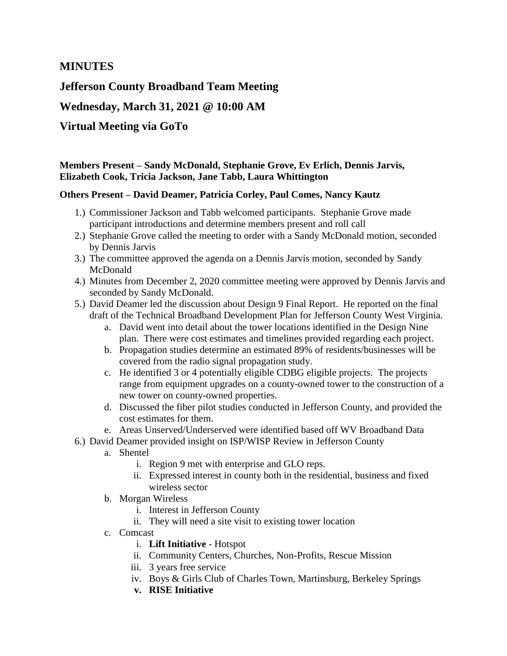## **MINUTES**

**Jefferson County Broadband Team Meeting**

**Wednesday, March 31, 2021 @ 10:00 AM**

# **Virtual Meeting via GoTo**

### **Members Present – Sandy McDonald, Stephanie Grove, Ev Erlich, Dennis Jarvis, Elizabeth Cook, Tricia Jackson, Jane Tabb, Laura Whittington**

#### **Others Present – David Deamer, Patricia Corley, Paul Comes, Nancy Kautz**

- 1.) Commissioner Jackson and Tabb welcomed participants. Stephanie Grove made participant introductions and determine members present and roll call
- 2.) Stephanie Grove called the meeting to order with a Sandy McDonald motion, seconded by Dennis Jarvis
- 3.) The committee approved the agenda on a Dennis Jarvis motion, seconded by Sandy McDonald
- 4.) Minutes from December 2, 2020 committee meeting were approved by Dennis Jarvis and seconded by Sandy McDonald.
- 5.) David Deamer led the discussion about Design 9 Final Report. He reported on the final draft of the Technical Broadband Development Plan for Jefferson County West Virginia.
	- a. David went into detail about the tower locations identified in the Design Nine plan. There were cost estimates and timelines provided regarding each project.
	- b. Propagation studies determine an estimated 89% of residents/businesses will be covered from the radio signal propagation study.
	- c. He identified 3 or 4 potentially eligible CDBG eligible projects. The projects range from equipment upgrades on a county-owned tower to the construction of a new tower on county-owned properties.
	- d. Discussed the fiber pilot studies conducted in Jefferson County, and provided the cost estimates for them.
	- e. Areas Unserved/Underserved were identified based off WV Broadband Data
- 6.) David Deamer provided insight on ISP/WISP Review in Jefferson County
	- a. Shentel
		- i. Region 9 met with enterprise and GLO reps.
		- ii. Expressed interest in county both in the residential, business and fixed wireless sector
	- b. Morgan Wireless
		- i. Interest in Jefferson County
		- ii. They will need a site visit to existing tower location
	- c. Comcast
		- i. **Lift Initiative** Hotspot
		- ii. Community Centers, Churches, Non-Profits, Rescue Mission
		- iii. 3 years free service
		- iv. Boys & Girls Club of Charles Town, Martinsburg, Berkeley Springs
		- **v. RISE Initiative**